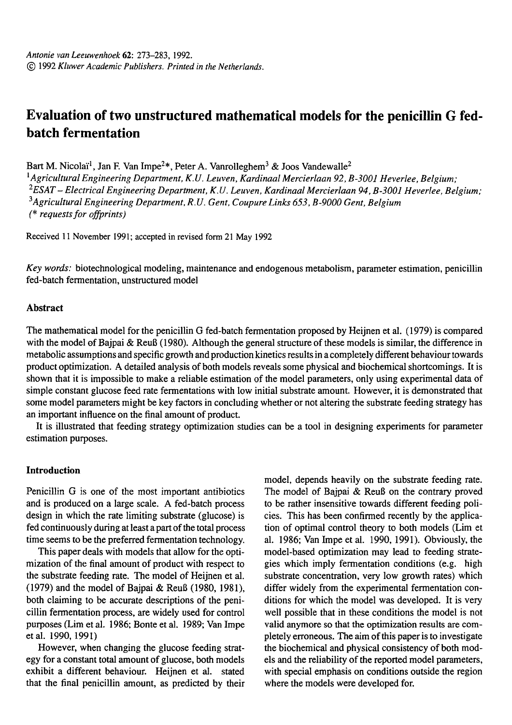# **Evaluation of two unstructured mathematical models for the penicillin G fedbatch fermentation**

Bart M. Nicolaï<sup>1</sup>, Jan F. Van Impe<sup>2\*</sup>, Peter A. Vanrolleghem<sup>3</sup> & Joos Vandewalle<sup>2</sup>

*1Agricultural Engineering Department, K.U. Leuven, Kardinaal Mercierlaan 92, B-3001 Heverlee, Belgium; 2ESAT- Electrical Engineering Department, K.U. Leuven, Kardinaal Mercierlaan 94, B-3001 Heverlee, Belgium; 3Agricultural Engineering Department, R.U. Gent, Coupure Links 653, B-9000 Gent, Belgium (\* requests for offprints)* 

Received 11 November 1991; accepted in revised form 21 May 1992

*Key words:* biotechnological modeling, maintenance and endogenous metabolism, parameter estimation, penicillin fed-batch fermentation, unstructured model

## **Abstract**

The mathematical model for the penicillin G fed-batch fermentation proposed by Heijnen et al. (1979) is compared with the model of Bajpai & Reuß (1980). Although the general structure of these models is similar, the difference in metabolic assumptions and specific growth and production kinetics results in a completely different behaviour towards product optimization. A detailed analysis of both models reveals some physical and biochemical shortcomings. It is shown that it is impossible to make a reliable estimation of the model parameters, only using experimental data of simple constant glucose feed rate fermentations with low initial substrate amount. However, it is demonstrated that some model parameters might be key factors in concluding whether or not altering the substrate feeding strategy has an important influence on the final amount of product.

It is illustrated that feeding strategy optimization studies can be a tool in designing experiments for parameter estimation purposes.

# **Introduction**

Penicillin G is one of the most important antibiotics and is produced on a large scale. A fed-batch process design in which the rate limiting substrate (glucose) is fed continuously during at least a part of the total process time seems to be the preferred fermentation technology.

This paper deals with models that allow for the optimization of the final amount of product with respect to the substrate feeding rate. The model of Heijnen et al. (1979) and the model of Bajpai & ReuB (1980, 1981), both claiming to be accurate descriptions of the penicillin fermentation process, are widely used for control purposes (Lim et al. 1986; Bonte et al. 1989; Van Impe et al. 1990, 1991)

However, when changing the glucose feeding strategy for a constant total amount of glucose, both models exhibit a different behaviour. Heijnen et al. stated that the final penicillin amount, as predicted by their model, depends heavily on the substrate feeding rate. The model of Bajpai & Reuß on the contrary proved to be rather insensitive towards different feeding policies. This has been confirmed recently by the application of optimal control theory to both models (Lim et al. 1986; Van Impe et al. 1990, 1991). Obviously, the model-based optimization may lead to feeding strategies which imply fermentation conditions (e.g. high substrate concentration, very low growth rates) which differ widely from the experimental fermentation conditions for which the model was developed. It is very well possible that in these conditions the model is not valid anymore so that the optimization results are completely erroneous. The aim of this paper is to investigate the biochemical and physical consistency of both models and the reliability of the reported model parameters, with special emphasis on conditions outside the region where the models were developed for.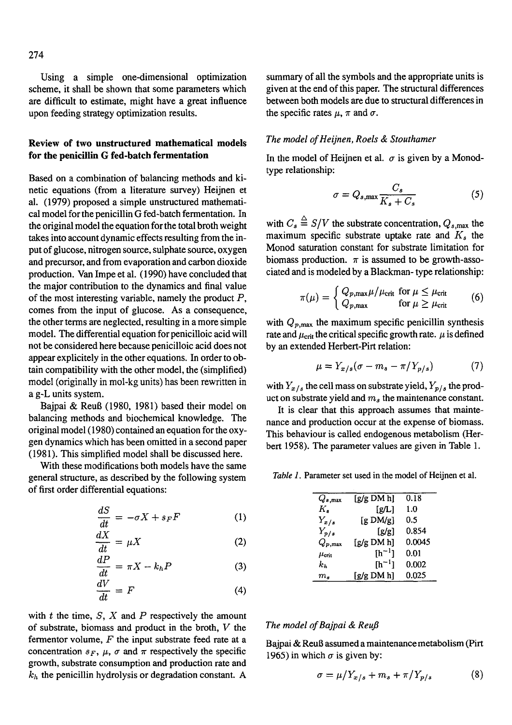Using a simple one-dimensional optimization scheme, it shall be shown that some parameters which are difficult to estimate, might have a great influence upon feeding strategy optimization results.

# **Review of two unstructured mathematical models for the penicillin G fed-batch fermentation**

Based on a combination of balancing methods and kinetic equations (from a literature survey) Heijnen et al. (1979) proposed a simple unstructured mathematical model for the penicillin G fed-batch fermentation. In the original model the equation for the total broth weight takes into account dynamic effects resulting from the input of glucose, nitrogen source, sulphate source, oxygen and precursor, and from evaporation and carbon dioxide production. Van Impe et al. (1990) have concluded that the major contribution to the dynamics and final value of the most interesting variable, namely the product  $P$ , comes from the input of glucose. As a consequence, the other terms are neglected, resulting in a more simple model. The differential equation for penicilloic acid will not be considered here because penicilloic acid does not appear explicitely in the other equations. In order to obtain compatibility with the other model, the (simplified) model (originally in mol-kg units) has been rewritten in a g-L units system.

Bajpai & Reu8 (1980, 1981) based their model on balancing methods and biochemical knowledge. The original model (1980) contained an equation for the oxygen dynamics which has been omitted in a second paper (1981). This simplified model shall be discussed here.

With these modifications both models have the same general structure, as described by the following system of first order differential equations:

$$
\frac{dS}{dt} = -\sigma X + s_F F \tag{1}
$$

$$
\frac{dX}{dt} = \mu X \tag{2}
$$

$$
\frac{dP}{dt} = \pi X - k_h P \tag{3}
$$

$$
\frac{dV}{dt} = F \tag{4}
$$

with  $t$  the time,  $S$ ,  $X$  and  $P$  respectively the amount of substrate, biomass and product in the broth, V the fermentor volume,  $F$  the input substrate feed rate at a concentration  $s_F$ ,  $\mu$ ,  $\sigma$  and  $\pi$  respectively the specific growth, substrate consumption and production rate and  $k_h$  the penicillin hydrolysis or degradation constant. A

summary of all the symbols and the appropriate units is given at the end of this paper. The structural differences between both models are due to structural differences in the specific rates  $\mu$ ,  $\pi$  and  $\sigma$ .

## *The model of Heijnen, Roels & Stouthamer*

In the model of Heijnen et al.  $\sigma$  is given by a Monodtype relationship:

$$
\sigma = Q_{s,\max} \frac{C_s}{K_s + C_s} \tag{5}
$$

with  $C_s \triangleq S/V$  the substrate concentration,  $Q_{s, max}$  the maximum specific substrate uptake rate and  $K<sub>s</sub>$  the Monod saturation constant for substrate limitation for biomass production.  $\pi$  is assumed to be growth-associated and is modeled by a Blackman- type relationship:

$$
\pi(\mu) = \begin{cases} Q_{p,\text{max}} \mu / \mu_{\text{crit}} & \text{for } \mu \le \mu_{\text{crit}} \\ Q_{p,\text{max}} & \text{for } \mu \ge \mu_{\text{crit}} \end{cases}
$$
(6)

with  $Q_{p,\text{max}}$  the maximum specific penicillin synthesis rate and  $\mu_{\text{crit}}$  the critical specific growth rate.  $\mu$  is defined by an extended Herbert-Pirt relation:

$$
\mu = Y_{x/s}(\sigma - m_s - \pi / Y_{p/s}) \tag{7}
$$

with  $Y_{x/s}$  the cell mass on substrate yield,  $Y_{p/s}$  the product on substrate yield and *ms* the maintenance constant.

It is clear that this approach assumes that maintenance and production occur at the expense of biomass. This behaviour is called endogenous metabolism (Herbert 1958). The parameter values are given in Table 1.

*Table 1.* Parameter set used in the model of Heijnen et al.

| $Q_{s,\mathrm{max}}$ | [g/g DM h]         | 0.18   |
|----------------------|--------------------|--------|
| Κ,                   | [g/L]              | 1.0    |
| $Y_{x/s}$            | [g $DM/g$ ]        | 0.5    |
| $Y_{p/s}$            | [g/g]              | 0.854  |
| $Q_{p,\mathrm{max}}$ | [g/g DM h]         | 0.0045 |
| $\mu_{\rm crit}$     | [h <sup>-1</sup> ] | 0.01   |
| $k_h$                | $[h^{-1}]$         | 0.002  |
| $m_{\rm \ast}$       | [g/g DM h]         | 0.025  |

#### *The model of Bajpai & ReuJ3*

Bajpai & ReuB assumed a maintenance metabolism (Pirt 1965) in which  $\sigma$  is given by:

$$
\sigma = \mu / Y_{x/s} + m_s + \pi / Y_{p/s} \tag{8}
$$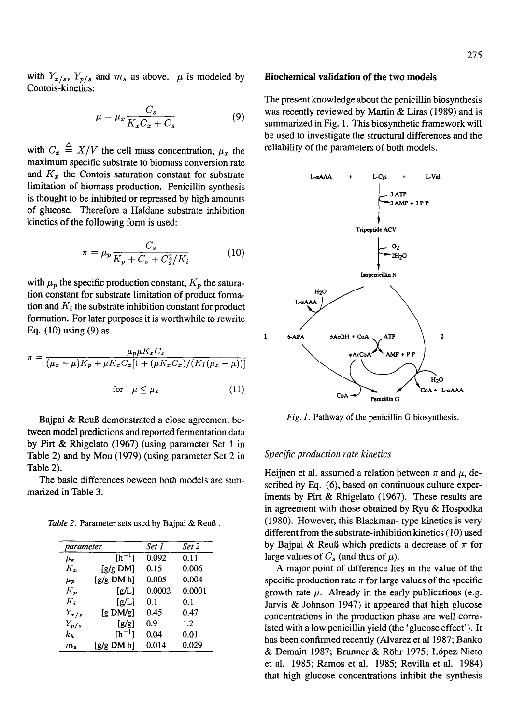with  $Y_{x/s}$ ,  $Y_{p/s}$  and  $m_s$  as above.  $\mu$  is modeled by Contois-kinetics:

$$
\mu = \mu_x \frac{C_s}{K_x C_x + C_s} \tag{9}
$$

with  $C_x \triangleq X/V$  the cell mass concentration,  $\mu_x$  the maximum specific substrate to biomass conversion rate and  $K_x$  the Contois saturation constant for substrate limitation of biomass production. Penicillin synthesis is thought to be inhibited or repressed by high amounts of glucose. Therefore a Haldane substrate inhibition kinetics of the following form is used:

$$
\pi = \mu_p \frac{C_s}{K_p + C_s + C_s^2 / K_i} \tag{10}
$$

with  $\mu_p$  the specific production constant,  $K_p$  the saturation constant for substrate limitation of product formation and  $K_i$  the substrate inhibition constant for product formation. For later purposes it is worthwhile to rewrite Eq. (10) using (9) as

$$
\pi = \frac{\mu_p \mu K_x C_x}{(\mu_x - \mu) K_p + \mu K_x C_x [1 + (\mu K_x C_x) / (K_I (\mu_x - \mu))]}
$$
  
for  $\mu \le \mu_x$  (11)

Bajpai & ReuB demonstrated a close agreement between model predictions and reported fermentation data by Pirt & Rhigelato (1967) (using parameter Set 1 in Table 2) and by Mou (1979) (using parameter Set 2 in Table 2).

The basic differences beween both models are summarized in Table 3.

*Table 2. Parameter sets used by Bajpai & Reuß.* 

| parameter      |                   | Set 1  | Set 2  |  |
|----------------|-------------------|--------|--------|--|
| $\mu_x$        | $[h^{-1}]$        | 0.092  | 0.11   |  |
| K.             | $[g/g \text{DM}]$ | 0.15   | 0.006  |  |
| $\mu_{\bm{p}}$ | [g/g DM h]        | 0.005  | 0.004  |  |
| $K_{p}$        | [g/L]             | 0.0002 | 0.0001 |  |
| К.             | [g/L]             | 0.1    | 0.1    |  |
| $Y_{x/s}$      | [g DM/g]          | 0.45   | 0.47   |  |
| $Y_{p/s}$      | [g/g]             | 0.9    | 1.2    |  |
| $k_{h}$        | $[h^{-1}]$        | 0.04   | 0.01   |  |
| $m_\ast$       | [g/g DM h]        | 0.014  | 0.029  |  |

#### **Biochemical validation of the two models**

The present knowledge about the penicillin biosynthesis was recently reviewed by Martin & Liras (1989) and is summarized in Fig. 1. This biosynthetic framework will be used to investigate the structural differences and the reliability of the parameters of both models.



*Fig. 1.* Pathway of the penicillin G biosynthesis.

#### *Specific production rate kinetics*

Heijnen et al. assumed a relation between  $\pi$  and  $\mu$ , described by Eq. (6), based on continuous culture experiments by Pirt & Rhigelato (1967). These results are in agreement with those obtained by Ryu & Hospodka (1980). However, this Blackman- type kinetics is very different from the substrate-inhibition kinetics (10) used by Bajpai & Reuß which predicts a decrease of  $\pi$  for large values of  $C_s$  (and thus of  $\mu$ ).

A major point of difference lies in the value of the specific production rate  $\pi$  for large values of the specific growth rate  $\mu$ . Already in the early publications (e.g. Jarvis & Johnson 1947) it appeared that high glucose concentrations in the production phase are well correlated with a low penicillin yield (the 'glucose effect'). It has been confirmed recently (Alvarez et al 1987; Banko & Demain 1987; Brunner & R6hr 1975; L6pez-Nieto et al. 1985; Ramos et al. 1985; Revilla et al. 1984) that high glucose concentrations inhibit the synthesis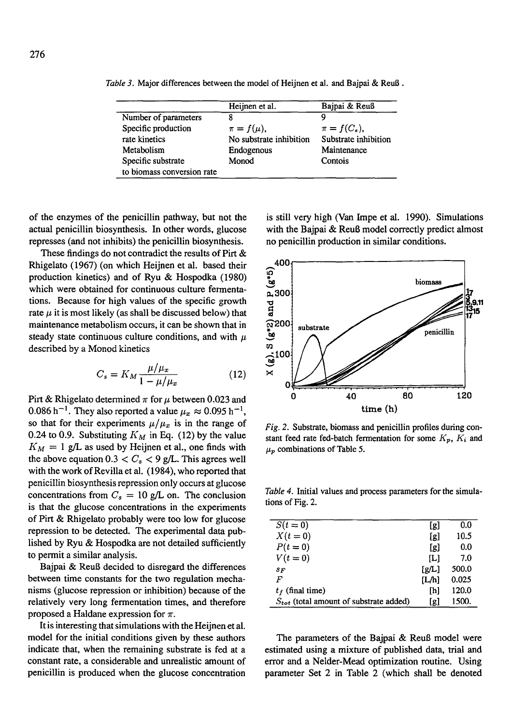|                            | Heijnen et al.          | Bajpai & Reuß        |
|----------------------------|-------------------------|----------------------|
| Number of parameters       |                         | Q                    |
| Specific production        | $\pi = f(\mu),$         | $\pi = f(C_s),$      |
| rate kinetics              | No substrate inhibition | Substrate inhibition |
| Metabolism                 | Endogenous              | Maintenance          |
| Specific substrate         | Monod                   | Contois              |
| to biomass conversion rate |                         |                      |

*Table 3.* Major differences between the model of Heijnen et al. and Bajpai & ReuB.

of the enzymes of the penicillin pathway, but not the actual penicillin biosynthesis. In other words, glucose represses (and not inhibits) the penicillin biosynthesis.

These findings do not contradict the results of Pirt & Rhigelato (1967) (on which Heijnen et al. based their production kinetics) and of Ryu & Hospodka (1980) which were obtained for continuous culture fermentations. Because for high values of the specific growth rate  $\mu$  it is most likely (as shall be discussed below) that maintenance metabolism occurs, it can be shown that in steady state continuous culture conditions, and with  $\mu$ described by a Monod kinetics

$$
C_s = K_M \frac{\mu/\mu_x}{1 - \mu/\mu_x} \tag{12}
$$

Pirt & Rhigelato determined  $\pi$  for  $\mu$  between 0.023 and 0.086 h<sup>-1</sup>. They also reported a value  $\mu_x \approx 0.095$  h<sup>-1</sup>, so that for their experiments  $\mu/\mu_x$  is in the range of 0.24 to 0.9. Substituting  $K_M$  in Eq. (12) by the value  $K_M = 1$  g/L as used by Heijnen et al., one finds with the above equation  $0.3 < C_s < 9$  g/L. This agrees well with the work of Revilla et al. (1984), who reported that penicillin biosynthesis repression only occurs at glucose concentrations from  $C_s = 10$  g/L on. The conclusion is that the glucose concentrations in the experiments of Pirt & Rhigelato probably were too low for glucose repression to be detected. The experimental data published by Ryu & Hospodka are not detailed sufficiently to permit a similar analysis.

Bajpai & ReuB decided to disregard the differences between time constants for the two regulation mechanisms (glucose repression or inhibition) because of the relatively very long fermentation times, and therefore proposed a Haldane expression for  $\pi$ .

It is interesting that simulations with the Heijnen et al. model for the initial conditions given by these authors indicate that, when the remaining substrate is fed at a constant rate, a considerable and unrealistic amount of penicillin is produced when the glucose concentration

is still very high (Van Impe et al. 1990). Simulations with the Bajpai & Reuß model correctly predict almost no penicillin production in similar conditions.



*Fig. 2.* Substrate, biomass and penicillin profiles during constant feed rate fed-batch fermentation for some  $K_p$ ,  $K_i$  and  $\mu_p$  combinations of Table 5.

*Table 4.* Initial values and process parameters for the simulations of Fig. 2.

| $S(t=0)$                                    | [g]   | 0.0   |
|---------------------------------------------|-------|-------|
| $X(t=0)$                                    | [g]   | 10.5  |
| $P(t=0)$                                    | [g]   | 0.0   |
| $V(t=0)$                                    | ſLl   | 7.0   |
| $s_F$                                       | [g/L] | 500.0 |
| F                                           | [L/h] | 0.025 |
| $t_f$ (final time)                          | ſЫ    | 120.0 |
| $S_{tot}$ (total amount of substrate added) | [g]   | 1500. |

The parameters of the Bajpai & Reuß model were estimated using a mixture of published data, trial and error and a Nelder-Mead optimization routine. Using parameter Set 2 in Table 2 (which shall be denoted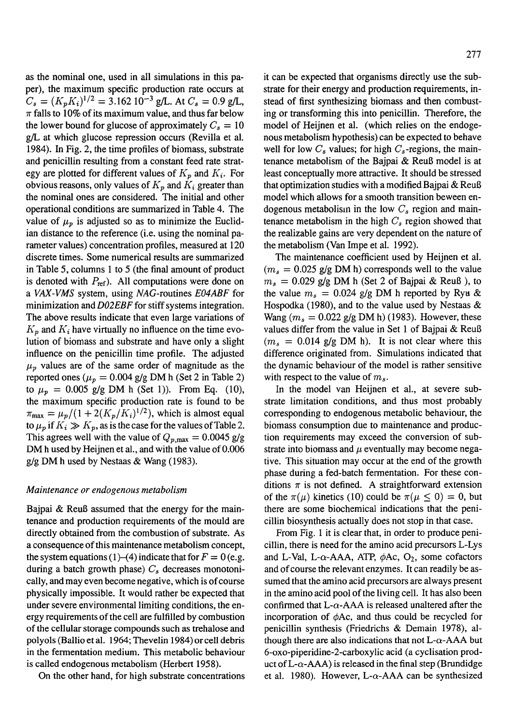as the nominal one, used in all simulations in this paper), the maximum specific production rate occurs at  $C_s = (K_p K_i)^{1/2} = 3.162 \, 10^{-3} \, \text{g/L}$ . At  $C_s = 0.9 \, \text{g/L}$ ,  $\pi$  falls to 10% of its maximum value, and thus far below the lower bound for glucose of approximately  $C_s = 10$ g/L at which glucose repression occurs (Revilla et al. 1984). In Fig. 2, the time profiles of biomass, substrate and penicillin resulting from a constant feed rate strategy are plotted for different values of  $K_p$  and  $K_i$ . For obvious reasons, only values of  $K_p$  and  $K_i$  greater than the nominal ones are considered. The initial and other operational conditions are summarized in Table 4. The value of  $\mu_n$  is adjusted so as to minimize the Euclidian distance to the reference (i.e. using the nominal parameter values) concentration profiles, measured at 120 discrete times. Some numerical results are summarized in Table 5, columns 1 to 5 (the final amount of product is denoted with  $P_{ref}$ ). All computations were done on *a VAX-VMS* system, using *NAG-routines EO4ABF* for minimization and *DO2EBF* for stiff systems integration. The above results indicate that even large variations of  $K_p$  and  $K_i$  have virtually no influence on the time evolution of biomass and substrate and have only a slight influence on the penicillin time profile. The adjusted  $\mu_p$  values are of the same order of magnitude as the reported ones ( $\mu_p = 0.004$  g/g DM h (Set 2 in Table 2) to  $\mu_p = 0.005$  g/g DM h (Set 1)). From Eq. (10), the maximum specific production rate is found to be  $\pi_{\text{max}} = \mu_p/(1 + 2(K_p/K_i)^{1/2})$ , which is almost equal to  $\mu_p$  if  $K_i \gg K_p$ , as is the case for the values of Table 2. This agrees well with the value of  $Q_{p,\text{max}} = 0.0045 \text{ g/g}$ DM h used by Heijnen et al., and with the value of 0.006 g/g DM h used by Nestaas & Wang (1983).

#### *Maintenance or endogenous metabolism*

Bajpai  $\&$  Reuß assumed that the energy for the maintenance and production requirements of the mould are directly obtained from the combustion of substrate. As a consequence of this maintenance metabolism concept, the system equations (1)–(4) indicate that for  $F = 0$  (e.g. during a batch growth phase)  $C_s$  decreases monotonically, and may even become negative, which is of course physically impossible. It would rather be expected that under severe environmental limiting conditions, the energy requirements of the cell are fulfilled by combustion of the cellular storage compounds such as trehalose and polyols (Ballio et al. 1964; Thevelin 1984) or cell debris in the fermentation medium. This metabolic behaviour is called endogenous metabolism (Herbert 1958).

On the other hand, for high substrate concentrations

it can be expected that organisms directly use the substrate for their energy and production requirements, instead of first synthesizing biomass and then combusting or transforming this into penicillin. Therefore, the model of Heijnen et al. (which relies on the endogenous metabolism hypothesis) can be expected to behave well for low  $C_s$  values; for high  $C_s$ -regions, the maintenance metabolism of the Bajpai  $&$  Reuß model is at least conceptually more attractive. It should be stressed that optimization studies with a modified Bajpai & ReuB model which allows for a smooth transition beween endogenous metabolism in the low  $C_s$  region and maintenance metabolism in the high  $C_{s}$  region showed that the realizable gains are very dependent on the nature of the metabolism (Van Impe et al. 1992).

The maintenance coefficient used by Heijnen et al.  $(m_s = 0.025 \text{ g/g DM h})$  corresponds well to the value  $m_s = 0.029$  g/g DM h (Set 2 of Bajpai & Reuß), to the value  $m_s = 0.024$  g/g DM h reported by Ryu & Hospodka (1980), and to the value used by Nestaas & Wang ( $m_s = 0.022$  g/g DM h) (1983). However, these values differ from the value in Set 1 of Bajpai & Reuß  $(m<sub>s</sub> = 0.014$  g/g DM h). It is not clear where this difference originated from. Simulations indicated that the dynamic behaviour of the model is rather sensitive with respect to the value of  $m_s$ .

In the model van Heijnen et al., at severe substrate limitation conditions, and thus most probably corresponding to endogenous metabolic behaviour, the biomass consumption due to maintenance and production requirements may exceed the conversion of substrate into biomass and  $\mu$  eventually may become negative. This situation may occur at the end of the growth phase during a fed-batch fermentation. For these conditions  $\pi$  is not defined. A straightforward extension of the  $\pi(\mu)$  kinetics (10) could be  $\pi(\mu \le 0) = 0$ , but there are some biochemical indications that the penicillin biosynthesis actually does not stop in that case.

From Fig. 1 it is clear that, in order to produce penicillin, there is need for the amino acid precursors L-Lys and L-Val, L- $\alpha$ -AAA, ATP,  $\phi$ Ac, O<sub>2</sub>, some cofactors and of course the relevant enzymes. It can readily be assumed that the amino acid precursors are always present in the amino acid pool of the living cell. It has also been confirmed that  $L-\alpha$ -AAA is released unaltered after the incorporation of  $\phi$ Ac, and thus could be recycled for penicillin synthesis (Friedrichs & Demain 1978), although there are also indications that not  $L$ - $\alpha$ -AAA but 6-oxo-piperidine-2-carboxylic acid (a cyclisation product of L- $\alpha$ -AAA) is released in the final step (Brundidge et al. 1980). However, L- $\alpha$ -AAA can be synthesized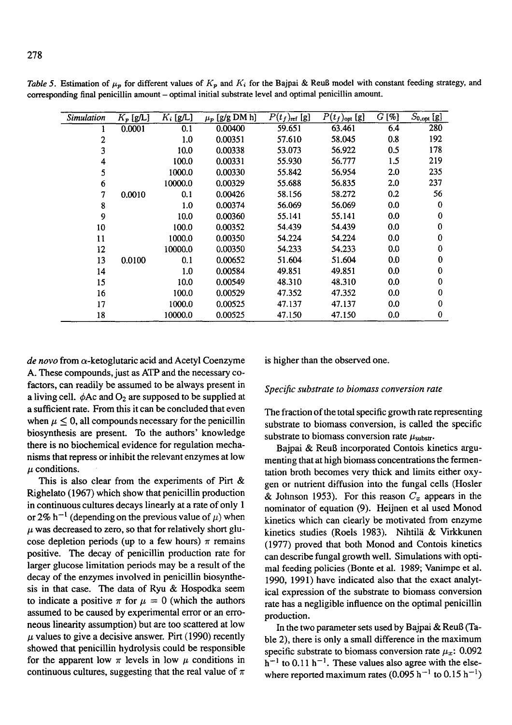| <i><b>Simulation</b></i> | $K_p$ [g/L] | $K_i$ [g/L] | $\mu_p$ [g/g DM h] | $P(t_f)_{ref}$ [g] | $P(t_f)_{\text{opt}}$ [g] | $G[\%]$ | $S_{0,\text{opt}}$ [g] |
|--------------------------|-------------|-------------|--------------------|--------------------|---------------------------|---------|------------------------|
|                          | 0.0001      | 0.1         | 0.00400            | 59.651             | 63.461                    | 6.4     | 280                    |
| 2                        |             | 1.0         | 0.00351            | 57.610             | 58.045                    | 0.8     | 192                    |
| 3                        |             | 10.0        | 0.00338            | 53.073             | 56.922                    | 0.5     | 178                    |
| 4                        |             | 100.0       | 0.00331            | 55.930             | 56.777                    | 1.5     | 219                    |
| 5                        |             | 1000.0      | 0.00330            | 55.842             | 56.954                    | 2.0     | 235                    |
| 6                        |             | 10000.0     | 0.00329            | 55.688             | 56.835                    | 2.0     | 237                    |
| 7                        | 0.0010      | 0.1         | 0.00426            | 58.156             | 58.272                    | 0.2     | 56                     |
| 8                        |             | 1.0         | 0.00374            | 56.069             | 56.069                    | 0.0     | $\bf{0}$               |
| 9                        |             | 10.0        | 0.00360            | 55.141             | 55.141                    | 0.0     | 0                      |
| 10                       |             | 100.0       | 0.00352            | 54.439             | 54.439                    | 0.0     | $\bf{0}$               |
| 11                       |             | 1000.0      | 0.00350            | 54.224             | 54.224                    | 0.0     | 0                      |
| 12                       |             | 10000.0     | 0.00350            | 54.233             | 54.233                    | 0.0     | 0                      |
| 13                       | 0.0100      | 0.1         | 0.00652            | 51.604             | 51.604                    | 0.0     | $\Omega$               |
| 14                       |             | 1.0         | 0.00584            | 49.851             | 49.851                    | 0.0     | $\mathbf 0$            |
| 15                       |             | 10.0        | 0.00549            | 48.310             | 48.310                    | 0.0     | $\mathbf 0$            |
| 16                       |             | 100.0       | 0.00529            | 47.352             | 47.352                    | 0.0     | 0                      |
| 17                       |             | 1000.0      | 0.00525            | 47.137             | 47.137                    | 0.0     | 0                      |
| 18                       |             | 10000.0     | 0.00525            | 47.150             | 47.150                    | 0.0     | $\bf{0}$               |

*Table 5.* Estimation of  $\mu_p$  for different values of  $K_p$  and  $K_i$  for the Bajpai & ReuB model with constant feeding strategy, and corresponding final penicillin amount - optimal initial substrate level and optimal penicillin amount.

 $de novo$  from  $\alpha$ -ketoglutaric acid and Acetyl Coenzyme A. These compounds, just as ATP and the necessary cofactors, can readily be assumed to be always present in a living cell.  $\phi$ Ac and  $O_2$  are supposed to be supplied at a sufficient rate. From this it can be concluded that even when  $\mu \leq 0$ , all compounds necessary for the penicillin biosynthesis are present. To the authors' knowledge there is no biochemical evidence for regulation mechanisms that repress or inhibit the relevant enzymes at low  $\mu$  conditions.

This is also clear from the experiments of Pirt & Righelato (1967) which show that penicillin production in continuous cultures decays linearly at a rate of only 1 or 2% h<sup>-1</sup> (depending on the previous value of  $\mu$ ) when  $\mu$  was decreased to zero, so that for relatively short glucose depletion periods (up to a few hours)  $\pi$  remains positive. The decay of penicillin production rate for larger glucose limitation periods may be a result of the decay of the enzymes involved in penicillin biosynthesis in that case. The data of Ryu & Hospodka seem to indicate a positive  $\pi$  for  $\mu = 0$  (which the authors assumed to be caused by experimental error or an erroneous linearity assumption) but are too scattered at low  $\mu$  values to give a decisive answer. Pirt (1990) recently showed that penicillin hydrolysis could be responsible for the apparent low  $\pi$  levels in low  $\mu$  conditions in continuous cultures, suggesting that the real value of  $\pi$ 

is higher than the observed one.

#### *Specific substrate to biomass conversion rate*

The fraction of the total specific growth rate representing substrate to biomass conversion, is called the specific substrate to biomass conversion rate  $\mu_{\text{substr}}$ .

Bajpai & ReuB incorporated Contois kinetics argumenting that at high biomass concentrations the fermentation broth becomes very thick and limits either oxygen or nutrient diffusion into the fungal cells (Hosler & Johnson 1953). For this reason  $C_x$  appears in the nominator of equation (9). Heijnen et al used Monod kinetics which can clearly be motivated from enzyme kinetics studies (Roels 1983). Nihtila & Virkkunen (1977) proved that both Monod and Contois kinetics can describe fungal growth well. Simulations with optimal feeding policies (Bonte et al. 1989; Vanimpe et al. 1990, 1991) have indicated also that the exact analytical expression of the substrate to biomass conversion rate has a negligible influence on the optimal penicillin production.

In the two parameter sets used by Bajpai & ReuB (Table 2), there is only a small difference in the maximum specific substrate to biomass conversion rate  $\mu_x$ : 0.092  $h^{-1}$  to 0.11  $h^{-1}$ . These values also agree with the elsewhere reported maximum rates  $(0.095 \text{ h}^{-1} \text{ to } 0.15 \text{ h}^{-1})$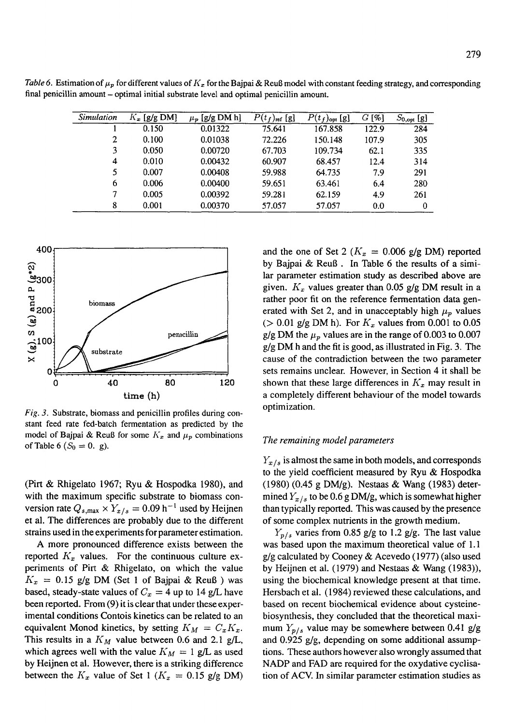| Simulation | $K_x$ [g/g DM] | $\mu_p$ [g/g DM h] | $P(t_f)_{ref}$ [g] | $P(t_f)_{opt}$ [g] | $G[\%]$ | $S_{0,\text{opt}}$ [g] |
|------------|----------------|--------------------|--------------------|--------------------|---------|------------------------|
|            | 0.150          | 0.01322            | 75.641             | 167.858            | 122.9   | 284                    |
| 2          | 0.100          | 0.01038            | 72.226             | 150.148            | 107.9   | 305                    |
| 3          | 0.050          | 0.00720            | 67.703             | 109.734            | 62.1    | 335                    |
| 4          | 0.010          | 0.00432            | 60.907             | 68.457             | 12.4    | 314                    |
| 5          | 0.007          | 0.00408            | 59.988             | 64.735             | 7.9     | 291                    |
| 6          | 0.006          | 0.00400            | 59.651             | 63.461             | 6.4     | 280                    |
| 7          | 0.005          | 0.00392            | 59.281             | 62.159             | 4.9     | 261                    |
| 8          | 0.001          | 0.00370            | 57.057             | 57.057             | 0.0     | 0                      |

*Table 6.* Estimation of  $\mu_p$  for different values of  $K_x$  for the Bajpai & Reuß model with constant feeding strategy, and corresponding final penicillin amount - optimal initial substrate level and optimal penicillin amount.



*Fig. 3.* Substrate, biomass and penicillin profiles during constant feed rate fed-batch fermentation as predicted by the model of Bajpai & Reuß for some  $K_x$  and  $\mu_p$  combinations of Table 6 ( $S_0 = 0$ . g).

(Pirt & Rhigelato 1967; Ryu & Hospodka 1980), and with the maximum specific substrate to biomass conversion rate  $Q_{s,\text{max}} \times Y_{x/s} = 0.09 \text{ h}^{-1}$  used by Heijnen et al. The differences are probably due to the different strains used in the experiments for parameter estimation.

A more pronounced difference exists between the reported  $K_x$  values. For the continuous culture experiments of Pirt & Rhigelato, on which the value  $K_x = 0.15$  g/g DM (Set 1 of Bajpai & Reuß) was based, steady-state values of  $C_x = 4$  up to 14 g/L have been reported. From (9) it is clear that under these experimental conditions Contois kinetics can be related to an equivalent Monod kinetics, by setting  $K_M = C_x K_x$ . This results in a  $K_M$  value between 0.6 and 2.1 g/L, which agrees well with the value  $K_M = 1$  g/L as used by Heijnen et al. However, there is a striking difference between the  $K_x$  value of Set 1 ( $K_x = 0.15$  g/g DM) and the one of Set 2 ( $K_x = 0.006$  g/g DM) reported by Bajpai & Reu8. In Table 6 the results of a similar parameter estimation study as described above are given.  $K_x$  values greater than 0.05 g/g DM result in a rather poor fit on the reference fermentation data generated with Set 2, and in unacceptably high  $\mu_p$  values ( $> 0.01$  g/g DM h). For  $K_x$  values from 0.001 to 0.05 g/g DM the  $\mu_p$  values are in the range of 0.003 to 0.007 g/g DM h and the fit is good, as illustrated in Fig. 3. The cause of the contradiction between the two parameter sets remains unclear. However, in Section 4 it shall be shown that these large differences in  $K_x$  may result in a completely different behaviour of the model towards optimization.

#### *The remaining model parameters*

 $Y_{\alpha/s}$  is almost the same in both models, and corresponds to the yield coefficient measured by Ryu & Hospodka (1980) (0.45 g DM/g). Nestaas & Wang (1983) determined  $Y_{x/s}$  to be 0.6 g DM/g, which is somewhat higher than typically reported. This was caused by the presence of some complex nutrients in the growth medium.

*Yp/s* varies from 0.85 g/g to 1.2 g/g. The last value was based upon the maximum theoretical value of 1.1 g/g calculated by Cooney & Acevedo (1977) (also used by Heijnen et al. (1979) and Nestaas & Wang (1983)), using the biochemical knowledge present at that time. Hersbach et al. (1984) reviewed these calculations, and based on recent biochemical evidence about cysteinebiosynthesis, they concluded that the theoretical maximum  $Y_{p/s}$  value may be somewhere between 0.41 g/g and 0.925 g/g, depending on some additional assumptions. These authors however also wrongly assumed that NADP and FAD are required for the oxydative cyclisation of ACV. In similar parameter estimation studies as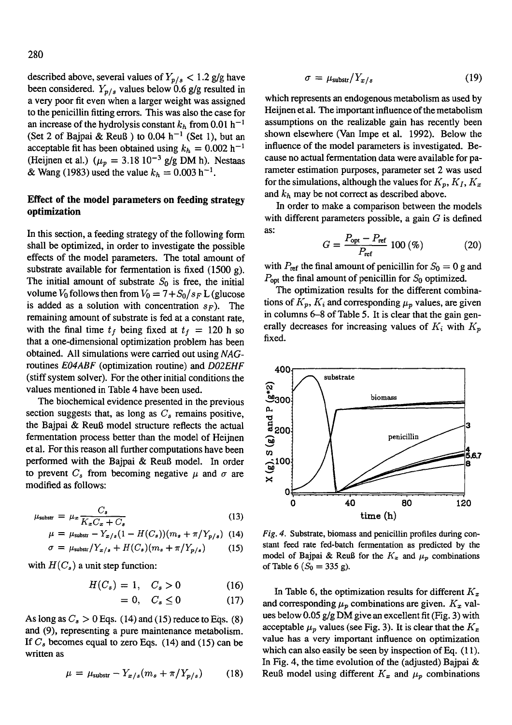described above, several values of  $Y_{p/s} < 1.2$  g/g have been considered.  $Y_{p/s}$  values below 0.6 g/g resulted in a very poor fit even when a larger weight was assigned to the penicillin fitting errors. This was also the case for an increase of the hydrolysis constant  $k_h$  from 0.01 h<sup>-1</sup> (Set 2 of Bajpai & Reuß ) to 0.04  $h^{-1}$  (Set 1), but an acceptable fit has been obtained using  $k_h = 0.002$  h<sup>-1</sup> (Heijnen et al.) ( $\mu_p = 3.18 \times 10^{-3}$  g/g DM h). Nestaas & Wang (1983) used the value  $k_h = 0.003 \text{ h}^{-1}$ .

# **Effect of the model parameters on feeding strategy optimization**

In this section, a feeding strategy of the following form shall be optimized, in order to investigate the possible effects of the model parameters. The total amount of substrate available for fermentation is fixed  $(1500 \text{ g})$ . The initial amount of substrate  $S_0$  is free, the initial volume  $V_0$  follows then from  $V_0 = 7 + S_0/s_F L$  (glucose is added as a solution with concentration  $s_F$ ). The remaining amount of substrate is fed at a constant rate, with the final time  $t_f$  being fixed at  $t_f = 120$  h so that a one-dimensional optimization problem has been obtained. All simulations were carried out using *NAG*routines *EO4ABF* (optimization routine) and *DO2EHF*  (stiff system solver). For the other initial conditions the values mentioned in Table 4 have been used.

The biochemical evidence presented in the previous section suggests that, as long as  $C_s$  remains positive, the Bajpai  $\&$  Reuß model structure reflects the actual fermentation process better than the model of Heijnen et al. For this reason all further computations have been performed with the Bajpai & ReuB model. In order to prevent  $C_s$  from becoming negative  $\mu$  and  $\sigma$  are modified as follows:

$$
\mu_{\text{substr}} = \mu_x \frac{C_s}{K_x C_x + C_s} \tag{13}
$$

$$
\mu = \mu_{\text{substr}} - Y_{x/s} (1 - H(C_s)) (m_s + \pi / Y_{p/s}) \tag{14}
$$

$$
\sigma = \mu_{\text{substr}} / Y_{x/s} + H(C_s)(m_s + \pi / Y_{p/s}) \tag{15}
$$

with  $H(C_s)$  a unit step function:

$$
H(C_s) = 1, \quad C_s > 0 \tag{16}
$$

$$
= 0, \quad C_s \le 0 \tag{17}
$$

As long as  $C_s > 0$  Eqs. (14) and (15) reduce to Eqs. (8) and (9), representing a pure maintenance metabolism. If  $C_s$  becomes equal to zero Eqs. (14) and (15) can be written as

$$
\mu = \mu_{\text{substr}} - Y_{x/s}(m_s + \pi/Y_{p/s}) \tag{18}
$$

$$
\sigma = \mu_{\text{substr}} / Y_{x/s} \tag{19}
$$

which represents an endogenous metabolism as used by Heijnen et al. The important influence of the metabolism assumptions on the realizable gain has recently been shown elsewhere (Van Impe et al. 1992). Below the influence of the model parameters is investigated. Because no actual fermentation data were available for parameter estimation purposes, parameter set 2 was used for the simulations, although the values for  $K_p$ ,  $K_l$ ,  $K_x$ and  $k_h$  may be not correct as described above.

In order to make a comparison between the models with different parameters possible, a gain  $G$  is defined as:

$$
G = \frac{P_{\rm opt} - P_{\rm ref}}{P_{\rm ref}} 100 \, (\%) \tag{20}
$$

with  $P_{ref}$  the final amount of penicillin for  $S_0 = 0$  g and  $P_{opt}$  the final amount of penicillin for  $S_0$  optimized.

The optimization results for the different combinations of  $K_p$ ,  $K_i$  and corresponding  $\mu_p$  values, are given in columns 6-8 of Table 5. It is clear that the gain generally decreases for increasing values of  $K_i$  with  $K_p$ fixed.



*Fig. 4.* Substrate, biomass and penicillin profiles during constant feed rate fed-batch fermentation as predicted by the model of Bajpai & Reuß for the  $K_x$  and  $\mu_p$  combinations of Table 6 ( $S_0 = 335$  g).

In Table 6, the optimization results for different  $K_x$ and corresponding  $\mu_p$  combinations are given.  $K_x$  values below 0.05 g/g DM give an excellent fit (Fig. 3) with acceptable  $\mu_p$  values (see Fig. 3). It is clear that the  $K_x$ value has a very important influence on optimization which can also easily be seen by inspection of Eq. (11). In Fig. 4, the time evolution of the (adjusted) Bajpai & Reuß model using different  $K_x$  and  $\mu_p$  combinations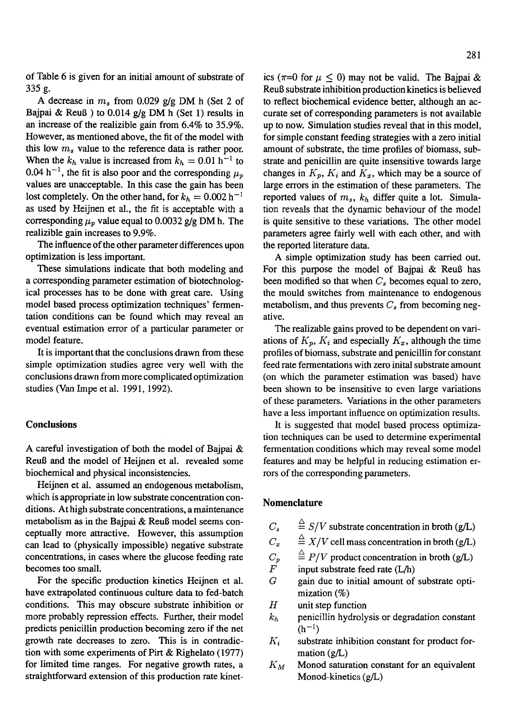of Table 6 is given for an initial amount of substrate of 335 g.

A decrease in  $m_s$  from 0.029 g/g DM h (Set 2 of Bajpai & Reuß ) to 0.014  $g/g$  DM h (Set 1) results in an increase of the realizible gain from 6.4% to 35.9%. However, as mentioned above, the fit of the model with this low  $m_s$  value to the reference data is rather poor. When the  $k_h$  value is increased from  $k_h = 0.01$  h<sup>-1</sup> to 0.04 h<sup>-1</sup>, the fit is also poor and the corresponding  $\mu_p$ values are unacceptable. In this case the gain has been lost completely. On the other hand, for  $k_h = 0.002$  h<sup>-1</sup> as used by Heijnen et al., the fit is acceptable with a corresponding  $\mu_p$  value equal to 0.0032 g/g DM h. The realizible gain increases to 9.9%.

The influence of the other parameter differences upon optimization is less important.

These simulations indicate that both modeling and a corresponding parameter estimation of biotechnological processes has to be done with great care. Using model based process optimization techniques' fermentation conditions can be found which may reveal an eventual estimation error of a particular parameter or model feature.

It is important that the conclusions drawn from these simple optimization studies agree very well with the conclusions drawn from more complicated optimization studies (Van Impe et al. 1991, 1992).

# **Conclusions**

A careful investigation of both the model of Bajpai & ReuB and the model of Heijnen et al. revealed some biochemical and physical inconsistencies.

Heijnen et al. assumed an endogenous metabolism, which is appropriate in low substrate concentration conditions. At high substrate concentrations, a maintenance metabolism as in the Bajpai & ReuB model seems conceptually more attractive. However, this assumption can lead to (physically impossible) negative substrate concentrations, in cases where the glucose feeding rate becomes too small.

For the specific production kinetics Heijnen et al. have extrapolated continuous culture data to fed-batch conditions. This may obscure substrate inhibition or more probably repression effects. Further, their model predicts penicillin production becoming zero if the net growth rate decreases to zero. This is in contradiction with some experiments of Pirt & Righelato (1977) for limited time ranges. For negative growth rates, a straightforward extension of this production rate kinetics ( $\pi=0$  for  $\mu \leq 0$ ) may not be valid. The Bajpai & ReuB substrate inhibition production kinetics is believed to reflect biochemical evidence better, although an accurate set of corresponding parameters is not available up to now. Simulation studies reveal that in this model, for simple constant feeding strategies with a zero initial amount of substrate, the time profiles of biomass, substrate and penicillin are quite insensitive towards large changes in  $K_p$ ,  $K_i$  and  $K_x$ , which may be a source of large errors in the estimation of these parameters. The reported values of  $m_s$ ,  $k_b$  differ quite a lot. Simulation reveals that the dynamic behaviour of the model

the reported literature data. A simple optimization study has been carried out. For this purpose the model of Bajpai & ReuB has been modified so that when  $C_s$  becomes equal to zero, the mould switches from maintenance to endogenous metabolism, and thus prevents  $C_s$  from becoming negative.

is quite sensitive to these variations. The other model parameters agree fairly well with each other, and with

The realizable gains proved to be dependent on variations of  $K_p$ ,  $K_i$  and especially  $K_x$ , although the time profiles of biomass, substrate and penicillin for constant feed rate fermentations with zero inital substrate amount (on which the parameter estimation was based) have been shown to be insensitive to even large variations of these parameters. Variations in the other parameters have a less important influence on optimization results.

It is suggested that model based process optimization techniques can be used to determine experimental fermentation conditions which may reveal some model features and may be helpful in reducing estimation errors of the corresponding parameters.

## **Nomenclature**

- $C_s$   $\stackrel{\triangle}{=} S/V$  substrate concentration in broth (g/L)
- $C_x$   $\stackrel{\triangle}{=} X/V$  cell mass concentration in broth (g/L)
- $C_p$   $\stackrel{\triangle}{=} P/V$  product concentration in broth (g/L)<br> *F* input substrate feed rate (L/h)
- input substrate feed rate  $(L/h)$
- $G$  gain due to initial amount of substrate optimization (%)
- $H$  unit step function
- $k_h$  penicillin hydrolysis or degradation constant  $(h^{-1})$
- $K_i$  substrate inhibition constant for product formation (g/L)
- $K_M$  Monod saturation constant for an equivalent Monod-kinetics (g/L)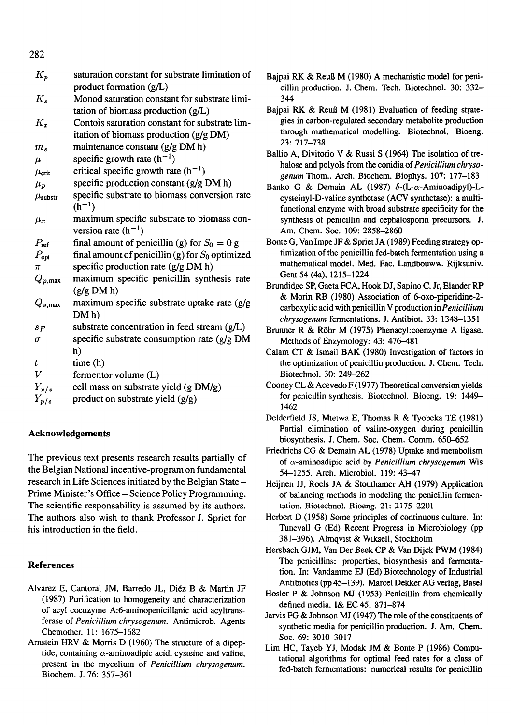| $K_p$                | saturation constant for substrate limitation of    |
|----------------------|----------------------------------------------------|
|                      | product formation (g/L)                            |
| $K_{s}$              | Monod saturation constant for substrate limi-      |
|                      | tation of biomass production $(g/L)$               |
| $K_x$                | Contois saturation constant for substrate lim-     |
|                      | itation of biomass production (g/g DM)             |
| $m_{s}$              | maintenance constant (g/g DM h)                    |
| $\mu$                | specific growth rate $(h^{-1})$                    |
| $\mu_{\rm crit}$     | critical specific growth rate $(h^{-1})$           |
| $\mu_p$              | specific production constant (g/g DM h)            |
| $\mu_{\rm substr}$   | specific substrate to biomass conversion rate      |
|                      | $(h^{-1})$                                         |
| $\mu_x$              | maximum specific substrate to biomass con-         |
|                      | version rate $(h^{-1})$                            |
| $P_{\text{ref}}$     | final amount of penicillin (g) for $S_0 = 0$ g     |
| $P_{opt}$            | final amount of penicillin (g) for $S_0$ optimized |
| $\pi$                | specific production rate (g/g DM h)                |
| $Q_{p,\mathrm{max}}$ | maximum specific penicillin synthesis rate         |
|                      | (g/g DM h)                                         |
| $Q_{s,\mathrm{max}}$ | maximum specific substrate uptake rate (g/g        |
|                      | DM <sub>h</sub>                                    |
| $S_F$                | substrate concentration in feed stream $(g/L)$     |
| σ                    | specific substrate consumption rate (g/g DM        |
|                      | h)                                                 |
| t                    | time(h)                                            |
| V                    | fermentor volume (L)                               |
| $Y_{x/s}$            | cell mass on substrate yield (g DM/g)              |
| $Y_{p/s}$            | product on substrate yield (g/g)                   |
|                      |                                                    |

# **Acknowledgements**

The previous text presents research results partially of the Belgian National incentive-program on fundamental research in Life Sciences initiated by the Belgian State-Prime Minister's Office- Science Policy Programming. The scientific responsability is assumed by its authors. The authors also wish to thank Professor J. Spriet for his introduction in the field.

# **References**

- Alvarez E, Cantoral JM, Barredo JL, Di6z B & Martin JF (1987) Purification to homogeneity and characterization of acyl coenzyme A:6-aminopenicillanic acid acyltransferase of *Penicillium chrysogenum.* Antimicrob. Agents Chemother. 11: 1675-1682
- Arnstein HRV & Morris D (1960) The structure of a dipeptide, containing  $\alpha$ -aminoadipic acid, cysteine and valine, present in the mycelium of *Penicillium chrysogenum.*  Biochem. J. 76:357-361
- Bajpai RK & ReuB M (1980) A mechanistic model for penicillin production. J. Chem. Tech. Biotechnol. 30: 332- 344
- Bajpai RK & ReuB M (1981) Evaluation of feeding strategies in carbon-regulated secondary metabolite production through mathematical modelling. Biotechnol. Bioeng. 23:717-738
- Ballio A, Divitorio V & Russi S (1964) The isolation of trehalose and polyols from the conidia of *Penicillium chryso*genum Thom.. Arch. Biochem. Biophys. 107: 177-183
- Banko G & Demain AL (1987)  $\delta$ -(L- $\alpha$ -Aminoadipyl)-Lcysteinyl-D-valine synthetase (ACV synthetase): a multifunctional enzyme with broad substrate specificity for the synthesis of penicillin and cephalosporin precursors. J. Am. Chem. Soc. 109:2858-2860
- Bonte G, Van Impe JF & Spriet JA (1989) Feeding strategy optimization of the penicillin fed-batch fermentation using a mathematical model. Med. Fac. Landbouww. Rijksuniv. Gent 54 (4a), 1215-1224
- Brundidge SP, Gaeta FCA, Hook DJ, Sapino C. Jr, Elander RP & Morin RB (1980) Association of 6-oxo-piperidine-2 carboxylic acid with penicillin V production in *Penicillium chrysogenum* fermentations. J. Antibiot. 33:1348-1351
- Brunner R & RShr M (1975) Phenacyl:coenzyme A ligase. Methods of Enzymology: 43: 476-481
- Calam CT & Ismail BAK (1980) Investigation of factors in the optimization of penicillin production. J. Chem. Tech. Biotechnol. 30:249-262
- Cooney CL & Acevedo F (1977) Theoretical conversion yields for penicillin synthesis. Biotechnol. Bioeng. 19: 1449- 1462
- Delderfield JS, Mtetwa E, Thomas R & Tyobeka TE (1981) Partial elimination of valine-oxygen during penicillin biosynthesis. J. Chem. Soc. Chem. Comm. 650-652
- Friedrichs CG & Demain AL (1978) Uptake and metabolism of c~-aminoadipic acid by *Penicillium chrysogenum* Wis 54-1255. Arch. Microbiol. 119: 43-47
- Heijnen JJ, Roels JA & Stouthamer AH (1979) Application of balancing methods in modeling the penicillin fermentation. Biotechnol. Bioeng. 21:2175-2201
- Herbert D (1958) Some principles of continuous culture. In: Tunevall G (Ed) Recent Progress in Microbiology (pp 381-396). Almqvist & Wiksell, Stockholm
- Hersbach GJM, Van Der Beck CP & Van Dijck PWM (1984) The penicillins: properties, biosynthesis and fermentation. In: Vandamme EJ (Ed) Biotechnology of Industrial Antibiotics (pp 45-139). Marcel Dekker AG verlag, Basel
- Hosler P & Johnson MJ (1953) Penicillin from chemically defined media. I& EC 45:871-874
- Jarvis FG & Johnson MJ (1947) The role of the constituents of synthetic media for penicillin production. J. Am. Chem. Soc. 69:3010-3017
- Lim HC, Tayeb YJ, Modak JM & Bonte P (1986) Computational algorithms for optimal feed rates for a class of fed-batch fermentations: numerical results for penicillin

282